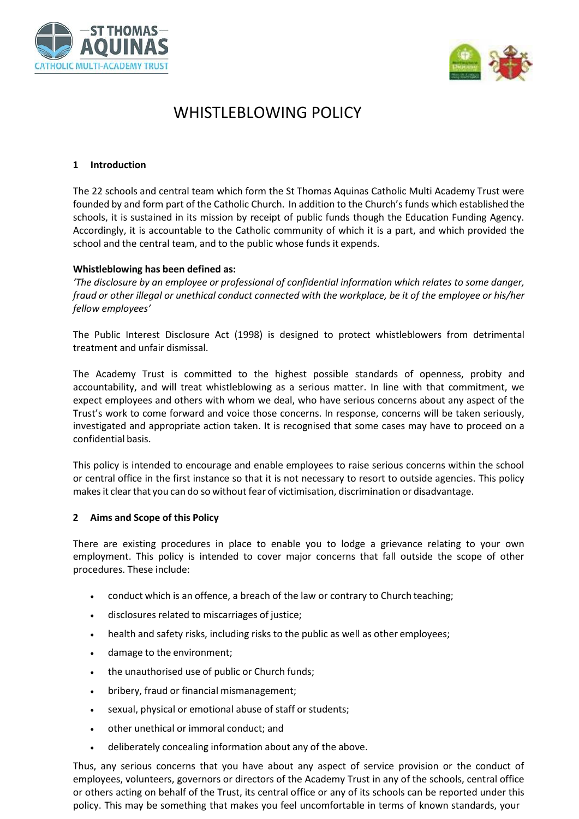



# WHISTLEBLOWING POLICY

## **1 Introduction**

The 22 schools and central team which form the St Thomas Aquinas Catholic Multi Academy Trust were founded by and form part of the Catholic Church. In addition to the Church's funds which established the schools, it is sustained in its mission by receipt of public funds though the Education Funding Agency. Accordingly, it is accountable to the Catholic community of which it is a part, and which provided the school and the central team, and to the public whose funds it expends.

# **Whistleblowing has been defined as:**

*'The disclosure by an employee or professional of confidential information which relates to some danger,* fraud or other illegal or unethical conduct connected with the workplace, be it of the employee or his/her *fellow employees'*

The Public Interest Disclosure Act (1998) is designed to protect whistleblowers from detrimental treatment and unfair dismissal.

The Academy Trust is committed to the highest possible standards of openness, probity and accountability, and will treat whistleblowing as a serious matter. In line with that commitment, we expect employees and others with whom we deal, who have serious concerns about any aspect of the Trust's work to come forward and voice those concerns. In response, concerns will be taken seriously, investigated and appropriate action taken. It is recognised that some cases may have to proceed on a confidential basis.

This policy is intended to encourage and enable employees to raise serious concerns within the school or central office in the first instance so that it is not necessary to resort to outside agencies. This policy makesit clearthat you can do so without fear of victimisation, discrimination or disadvantage.

## **2 Aims and Scope of this Policy**

There are existing procedures in place to enable you to lodge a grievance relating to your own employment. This policy is intended to cover major concerns that fall outside the scope of other procedures. These include:

- conduct which is an offence, a breach of the law or contrary to Church teaching;
- disclosures related to miscarriages of justice;
- health and safety risks, including risks to the public as well as other employees;
- damage to the environment;
- the unauthorised use of public or Church funds;
- bribery, fraud or financial mismanagement;
- sexual, physical or emotional abuse of staff or students;
- other unethical or immoral conduct; and
- deliberately concealing information about any of the above.

Thus, any serious concerns that you have about any aspect of service provision or the conduct of employees, volunteers, governors or directors of the Academy Trust in any of the schools, central office or others acting on behalf of the Trust, its central office or any of its schools can be reported under this policy. This may be something that makes you feel uncomfortable in terms of known standards, your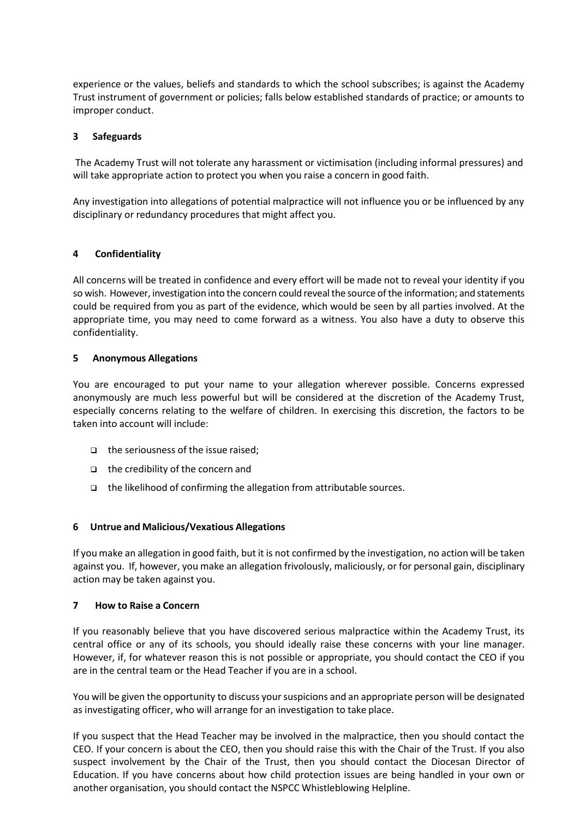experience or the values, beliefs and standards to which the school subscribes; is against the Academy Trust instrument of government or policies; falls below established standards of practice; or amounts to improper conduct.

## **3 Safeguards**

The Academy Trust will not tolerate any harassment or victimisation (including informal pressures) and will take appropriate action to protect you when you raise a concern in good faith.

Any investigation into allegations of potential malpractice will not influence you or be influenced by any disciplinary or redundancy procedures that might affect you.

# **4 Confidentiality**

All concerns will be treated in confidence and every effort will be made not to reveal your identity if you so wish. However, investigation into the concern could reveal the source of the information; and statements could be required from you as part of the evidence, which would be seen by all parties involved. At the appropriate time, you may need to come forward as a witness. You also have a duty to observe this confidentiality.

## **5 Anonymous Allegations**

You are encouraged to put your name to your allegation wherever possible. Concerns expressed anonymously are much less powerful but will be considered at the discretion of the Academy Trust, especially concerns relating to the welfare of children. In exercising this discretion, the factors to be taken into account will include:

- ❑ the seriousness of the issue raised;
- ❑ the credibility of the concern and
- ❑ the likelihood of confirming the allegation from attributable sources.

## **6 Untrue and Malicious/Vexatious Allegations**

If you make an allegation in good faith, but it is not confirmed by the investigation, no action will be taken against you. If, however, you make an allegation frivolously, maliciously, or for personal gain, disciplinary action may be taken against you.

## **7 How to Raise a Concern**

If you reasonably believe that you have discovered serious malpractice within the Academy Trust, its central office or any of its schools, you should ideally raise these concerns with your line manager. However, if, for whatever reason this is not possible or appropriate, you should contact the CEO if you are in the central team or the Head Teacher if you are in a school.

You will be given the opportunity to discuss your suspicions and an appropriate person will be designated as investigating officer, who will arrange for an investigation to take place.

If you suspect that the Head Teacher may be involved in the malpractice, then you should contact the CEO. If your concern is about the CEO, then you should raise this with the Chair of the Trust. If you also suspect involvement by the Chair of the Trust, then you should contact the Diocesan Director of Education. If you have concerns about how child protection issues are being handled in your own or another organisation, you should contact the NSPCC Whistleblowing Helpline.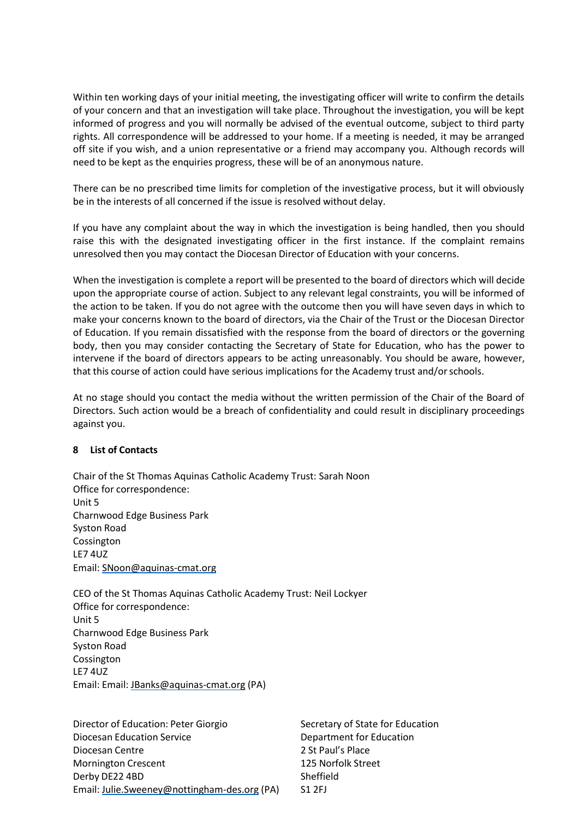Within ten working days of your initial meeting, the investigating officer will write to confirm the details of your concern and that an investigation will take place. Throughout the investigation, you will be kept informed of progress and you will normally be advised of the eventual outcome, subject to third party rights. All correspondence will be addressed to your home. If a meeting is needed, it may be arranged off site if you wish, and a union representative or a friend may accompany you. Although records will need to be kept as the enquiries progress, these will be of an anonymous nature.

There can be no prescribed time limits for completion of the investigative process, but it will obviously be in the interests of all concerned if the issue is resolved without delay.

If you have any complaint about the way in which the investigation is being handled, then you should raise this with the designated investigating officer in the first instance. If the complaint remains unresolved then you may contact the Diocesan Director of Education with your concerns.

When the investigation is complete a report will be presented to the board of directors which will decide upon the appropriate course of action. Subject to any relevant legal constraints, you will be informed of the action to be taken. If you do not agree with the outcome then you will have seven days in which to make your concerns known to the board of directors, via the Chair of the Trust or the Diocesan Director of Education. If you remain dissatisfied with the response from the board of directors or the governing body, then you may consider contacting the Secretary of State for Education, who has the power to intervene if the board of directors appears to be acting unreasonably. You should be aware, however, that this course of action could have serious implications for the Academy trust and/orschools.

At no stage should you contact the media without the written permission of the Chair of the Board of Directors. Such action would be a breach of confidentiality and could result in disciplinary proceedings against you.

## **8 List of Contacts**

Chair of the St Thomas Aquinas Catholic Academy Trust: Sarah Noon Office for correspondence: Unit 5 Charnwood Edge Business Park Syston Road Cossington LE7 4UZ Email: [SNoon@aquinas-cmat.org](mailto:SNoon@aquinas-cmat.org)

CEO of the St Thomas Aquinas Catholic Academy Trust: Neil Lockyer Office for correspondence: Unit 5 Charnwood Edge Business Park Syston Road Cossington LE7 4UZ Email: Email: [JBanks@aquinas-cmat.org](mailto:JBanks@aquinas-cmat.org) (PA)

Director of Education: Peter Giorgio Secretary of State for Education Diocesan Education Service Department for Education Diocesan Centre 2 St Paul's Place Mornington Crescent 125 Norfolk Street Derby DE22 4BD Sheffield Email: [Julie.Sweeney@nottingham-des.org](mailto:Julie.Sweeney@nottingham-des.org) (PA) S1 2FJ